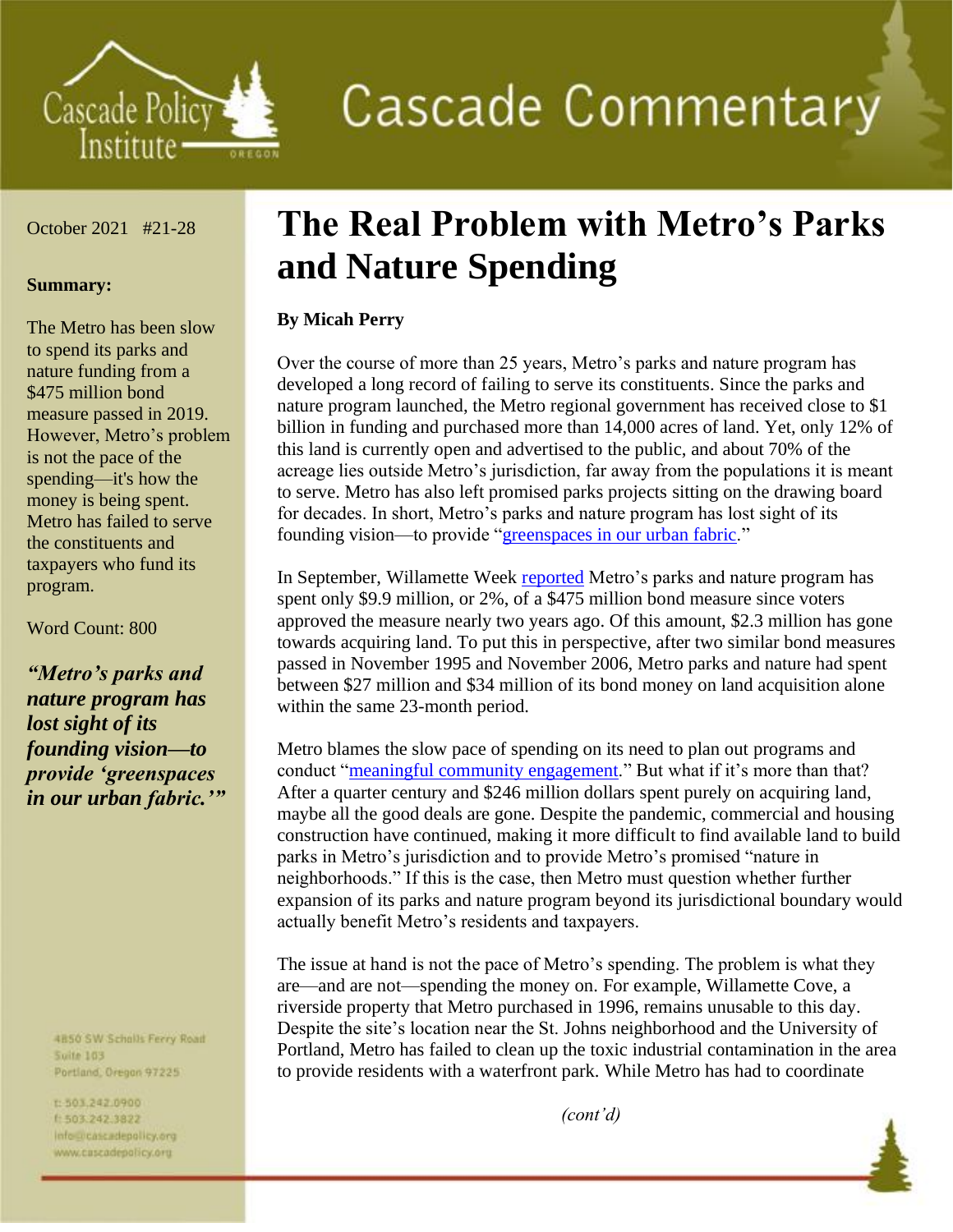

**Cascade Commentary** 

## October 2021 #21-28

## **Summary:**

The Metro has been slow to spend its parks and nature funding from a \$475 million bond measure passed in 2019. However, Metro's problem is not the pace of the spending—it's how the money is being spent. Metro has failed to serve the constituents and taxpayers who fund its program.

Word Count: 800

*"Metro's parks and nature program has lost sight of its founding vision—to provide 'greenspaces in our urban fabric.'"*

> 4B50 SW Scholls Ferry Road **Suite 103** Portland, Oregon 97225

t:503,242.0900 1 503.242.3822 info preascadepolicy.org www.cascadepolicy.org

## **The Real Problem with Metro's Parks and Nature Spending**

## **By Micah Perry**

Over the course of more than 25 years, Metro's parks and nature program has developed a long record of failing to serve its constituents. Since the parks and nature program launched, the Metro regional government has received close to \$1 billion in funding and purchased more than 14,000 acres of land. Yet, only 12% of this land is currently open and advertised to the public, and about 70% of the acreage lies outside Metro's jurisdiction, far away from the populations it is meant to serve. Metro has also left promised parks projects sitting on the drawing board for decades. In short, Metro's parks and nature program has lost sight of its founding vision—to provide ["greenspaces in our urban fabric.](https://www.oregonmetro.gov/sites/default/files/2014/05/17/metropolitan_greenspaces_master_plan.pdf)"

In September, Willamette Week [reported](https://www.wweek.com/news/2021/09/22/the-vast-majority-of-a-portland-area-nature-bond-measure-remains-untapped/) Metro's parks and nature program has spent only \$9.9 million, or 2%, of a \$475 million bond measure since voters approved the measure nearly two years ago. Of this amount, \$2.3 million has gone towards acquiring land. To put this in perspective, after two similar bond measures passed in November 1995 and November 2006, Metro parks and nature had spent between \$27 million and \$34 million of its bond money on land acquisition alone within the same 23-month period.

Metro blames the slow pace of spending on its need to plan out programs and conduct ["meaningful community engagement.](https://www.wweek.com/news/2021/09/22/the-vast-majority-of-a-portland-area-nature-bond-measure-remains-untapped/)" But what if it's more than that? After a quarter century and \$246 million dollars spent purely on acquiring land, maybe all the good deals are gone. Despite the pandemic, commercial and housing construction have continued, making it more difficult to find available land to build parks in Metro's jurisdiction and to provide Metro's promised "nature in neighborhoods." If this is the case, then Metro must question whether further expansion of its parks and nature program beyond its jurisdictional boundary would actually benefit Metro's residents and taxpayers.

The issue at hand is not the pace of Metro's spending. The problem is what they are—and are not—spending the money on. For example, Willamette Cove, a riverside property that Metro purchased in 1996, remains unusable to this day. Despite the site's location near the St. Johns neighborhood and the University of Portland, Metro has failed to clean up the toxic industrial contamination in the area to provide residents with a waterfront park. While Metro has had to coordinate

*(cont'd)*